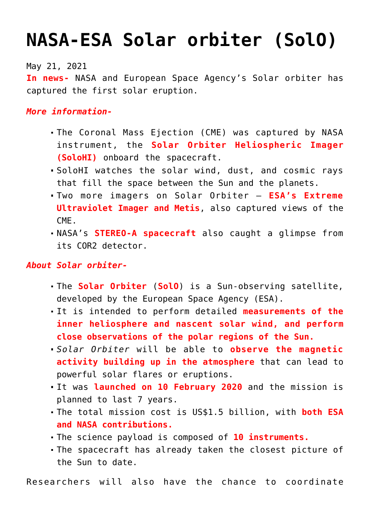## **[NASA-ESA Solar orbiter \(SolO\)](https://journalsofindia.com/nasa-esa-solar-orbiter-solo/)**

May 21, 2021

**In news-** NASA and European Space Agency's Solar orbiter has captured the first solar eruption.

*More information-*

- The Coronal Mass Ejection (CME) was captured by NASA instrument, the **Solar Orbiter Heliospheric Imager (SoloHI)** onboard the spacecraft.
- SoloHI watches the solar wind, dust, and cosmic rays that fill the space between the Sun and the planets.
- Two more imagers on Solar Orbiter **ESA's Extreme Ultraviolet Imager and Metis**, also captured views of the CME.
- NASA's **STEREO-A spacecraft** also caught a glimpse from its COR2 detector.

## *About Solar orbiter-*

- The **Solar Orbiter** (**SolO**) is a Sun-observing satellite, developed by the European Space Agency (ESA).
- It is intended to perform detailed **measurements of the inner heliosphere and nascent solar wind, and perform close observations of the polar regions of the Sun.**
- *Solar Orbiter* will be able to **observe the magnetic activity building up in the atmosphere** that can lead to powerful solar flares or eruptions.
- It was **launched on 10 February 2020** and the mission is planned to last 7 years.
- The total mission cost is US\$1.5 billion, with **both ESA and NASA contributions.**
- The science payload is composed of **10 instruments.**
- The spacecraft has already taken the closest picture of the Sun to date.

Researchers will also have the chance to coordinate